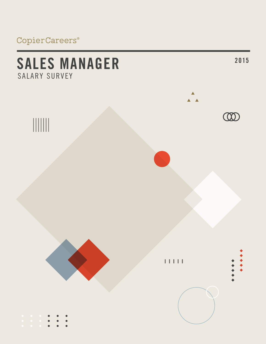# CopierCareers®

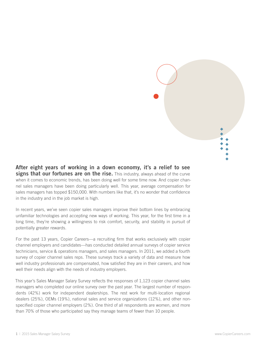

**After eight years of working in a down economy, it's a relief to see signs that our fortunes are on the rise.** This industry, always ahead of the curve when it comes to economic trends, has been doing well for some time now. And copier channel sales managers have been doing particularly well. This year, average compensation for sales managers has topped \$150,000. With numbers like that, it's no wonder that confidence in the industry and in the job market is high.

In recent years, we've seen copier sales managers improve their bottom lines by embracing unfamiliar technologies and accepting new ways of working. This year, for the first time in a long time, they're showing a willingness to risk comfort, security, and stability in pursuit of potentially greater rewards.

For the past 13 years, Copier Careers—a recruiting firm that works exclusively with copier channel employers and candidates—has conducted detailed annual surveys of copier service technicians, service & operations managers, and sales managers. In 2011, we added a fourth survey of copier channel sales reps. These surveys track a variety of data and measure how well industry professionals are compensated, how satisfied they are in their careers, and how well their needs align with the needs of industry employers.

This year's Sales Manager Salary Survey reflects the responses of 1,123 copier channel sales managers who completed our online survey over the past year. The largest number of respondents (42%) work for independent dealerships. The rest work for multi-location regional dealers (25%), OEMs (19%), national sales and service organizations (12%), and other nonspecified copier channel employers (2%). One third of all respondents are women, and more than 70% of those who participated say they manage teams of fewer than 10 people.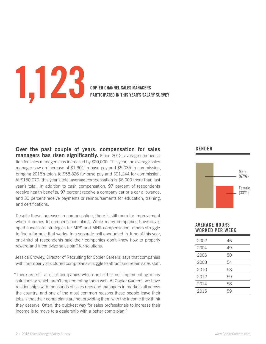# **1,123 COPIER CHANNEL SALES MANAGERS**

**PARTICIPATED IN THIS YEAR'S SALARY SURVEY**

**Over the past couple of years, compensation for sales managers has risen significantly.** Since 2012, average compensation for sales managers has increased by \$20,000. This year, the average sales manager saw an increase of \$1,301 in base pay and \$5,035 in commission, bringing 2015's totals to \$58,826 for base pay and \$91,244 for commission. At \$150,070, this year's total average compensation is \$6,000 more than last year's total. In addition to cash compensation, 97 percent of respondents receive health benefits, 97 percent receive a company car or a car allowance, and 30 percent receive payments or reimbursements for education, training, and certifications.

Despite these increases in compensation, there is still room for improvement when it comes to compensation plans. While many companies have developed successful strategies for MPS and MNS compensation, others struggle to find a formula that works. In a separate poll conducted in June of this year, one-third of respondents said their companies don't know how to properly reward and incentivize sales staff for solutions.

Jessica Crowley, Director of Recruiting for Copier Careers, says that companies with improperly structured comp plans struggle to attract and retain sales staff.

"There are still a lot of companies which are either not implementing many solutions or which aren't implementing them well. At Copier Careers, we have relationships with thousands of sales reps and managers in markets all across the country, and one of the most common reasons these people leave their jobs is that their comp plans are not providing them with the income they think they deserve. Often, the quickest way for sales professionals to increase their income is to move to a dealership with a better comp plan."

### **Gender**



### **Average Hours worked per week**

| 2002 | 46 |
|------|----|
| 2004 | 49 |
| 2006 | 50 |
| 2008 | 54 |
| 2010 | 58 |
| 2012 | 59 |
| 2014 | 58 |
| 2015 | 59 |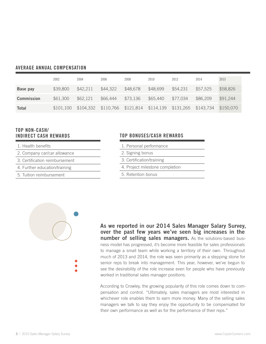### **Average annual compensation**

|                   | 2002      | 2004     | 2006                                                        | 2008     | 2010     | 2012     | 2014     | 2015      |
|-------------------|-----------|----------|-------------------------------------------------------------|----------|----------|----------|----------|-----------|
| Base pay          | \$39,800  | \$42,211 | \$44,322                                                    | \$48,678 | \$48,699 | \$54,231 | \$57.525 | \$58,826  |
| <b>Commission</b> | \$61,300  | \$62,121 | \$66,444                                                    | \$73,136 | \$65,440 | \$77.034 | \$86,209 | \$91,244  |
| Total             | \$101,100 |          | \$104,332 \$110,766 \$121,814 \$114,139 \$131,265 \$143,734 |          |          |          |          | \$150.070 |

### **Top non-cash/ indirect cash rewards**

- 1. Health benefits
- 2. Company car/car allowance
- 3. Certification reimbursement
- 4. Further education/training
- 5. Tuition reimbursement

### **Top BONUSES/CASH REWARDS**

- 1. Personal performance
- 2. Signing bonus
- 3. Certification/training
- 4. Project milestone completion
- 5. Retention bonus



**As we reported in our 2014 Sales Manager Salary Survey, over the past few years we've seen big increases in the number of selling sales managers.** As the solutions-based business model has progressed, it's become more feasible for sales professionals to manage a small team while working a territory of their own. Throughout much of 2013 and 2014, the role was seen primarily as a stepping stone for senior reps to break into management. This year, however, we've begun to see the desirability of the role increase even for people who have previously worked in traditional sales manager positions.

According to Crowley, the growing popularity of this role comes down to compensation and control. "Ultimately, sales managers are most interested in whichever role enables them to earn more money. Many of the selling sales managers we talk to say they enjoy the opportunity to be compensated for their own performance as well as for the performance of their reps."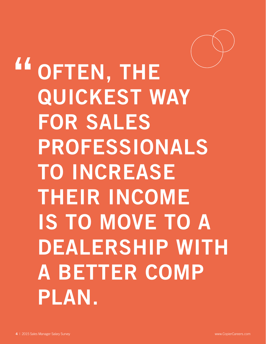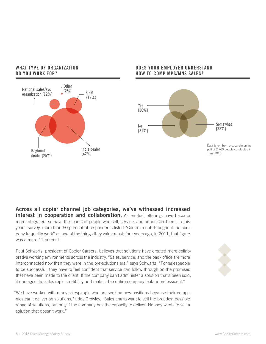



### **DOES YOUR EMPLOYER UNDERSTAND HOW TO COMP MPS/MNS SALES?**



**Across all copier channel job categories, we've witnessed increased interest in cooperation and collaboration.** As product offerings have become more integrated, so have the teams of people who sell, service, and administer them. In this year's survey, more than 50 percent of respondents listed "Commitment throughout the company to quality work" as one of the things they value most; four years ago, in 2011, that figure was a mere 11 percent.

Paul Schwartz, president of Copier Careers, believes that solutions have created more collaborative working environments across the industry. "Sales, service, and the back office are more interconnected now than they were in the pre-solutions era," says Schwartz. "For salespeople to be successful, they have to feel confident that service can follow through on the promises that have been made to the client. If the company can't administer a solution that's been sold, it damages the sales rep's credibility and makes the entire company look unprofessional."

"We have worked with many salespeople who are seeking new positions because their companies can't deliver on solutions," adds Crowley. "Sales teams want to sell the broadest possible range of solutions, but only if the company has the capacity to deliver. Nobody wants to sell a solution that doesn't work."

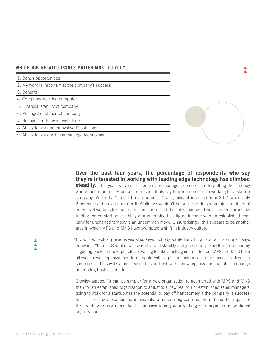### **WHich job-related issues matter most to YOu?**

1. Bonus opportunities

2. My work is important to the company's success

3. Benefits

4. Company-provided computer

5. Financial stability of company

6. Prestige/reputation of company

7. Recognition for work well done

8. Ability to work on innovative IT solutions

9. Ability to work with leading edge technology

**Over the past four years, the percentage of respondents who say they're interested in working with leading edge technology has climbed steadily.** This year, we've seen some sales managers come closer to putting their money where their mouth is: 9 percent of respondents say they're interested in working for a startup company. While that's not a huge number, it's a significant increase from 2014 when only 2 percent said they'd consider it. While we wouldn't be surprised to see greater numbers of entry-level workers take an interest in startups, at the sales manager level it's more surprising: trading the comfort and stability of a guaranteed six-figure income with an established company for uncharted territory is an uncommon move. Unsurprisingly, this appears to be another area in which MPS and MNS have prompted a shift in industry culture.

"If you look back at previous years' surveys, nobody wanted anything to do with startups," says Schwartz. "From '08 until now, it was all about stability and job security. Now that the economy is getting back on track, people are willing to take a risk again. In addition, MPS and MNS have allowed newer organizations to compete with larger entities on a pretty successful level. In some cases, I'd say it's almost easier to start fresh with a new organization than it is to change an existing business model."

Crowley agrees. "It can be simpler for a new organization to get started with MPS and MNS than for an established organization to adjust to a new reality. For established sales managers, going to work for a startup has the potential to pay off handsomely if the company is successful. It also allows experienced individuals to make a big contribution and see the impact of their work, which can be difficult to achieve when you're working for a larger, more traditional organization."

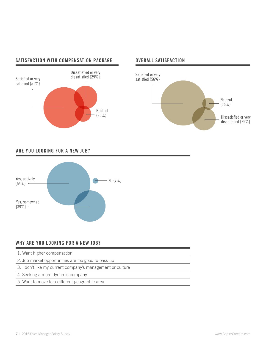### **SATISFACTION WITH COMPENSATION PACKAGE OVERALL SATISFACTION**







### **Are you looking for a new job?**



### **WHY ARE YOU LOOKING FOR A NEW JOB?**

- 1. Want higher compensation
- 2. Job market opportunities are too good to pass up
- 3. I don't like my current company's management or culture
- 4. Seeking a more dynamic company
- 5. Want to move to a different geographic area